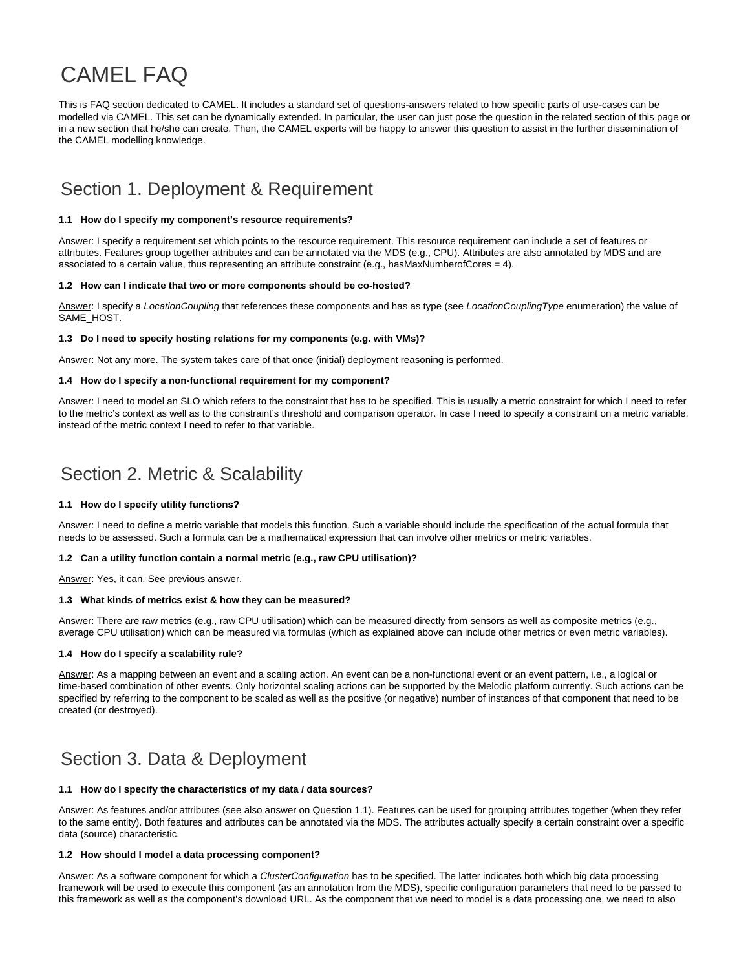# CAMEL FAQ

This is FAQ section dedicated to CAMEL. It includes a standard set of questions-answers related to how specific parts of use-cases can be modelled via CAMEL. This set can be dynamically extended. In particular, the user can just pose the question in the related section of this page or in a new section that he/she can create. Then, the CAMEL experts will be happy to answer this question to assist in the further dissemination of the CAMEL modelling knowledge.

# Section 1. Deployment & Requirement

#### **1.1 How do I specify my component's resource requirements?**

Answer: I specify a requirement set which points to the resource requirement. This resource requirement can include a set of features or attributes. Features group together attributes and can be annotated via the MDS (e.g., CPU). Attributes are also annotated by MDS and are associated to a certain value, thus representing an attribute constraint (e.g., hasMaxNumberofCores = 4).

#### **1.2 How can I indicate that two or more components should be co-hosted?**

Answer: I specify a LocationCoupling that references these components and has as type (see LocationCouplingType enumeration) the value of SAME\_HOST.

#### **1.3 Do I need to specify hosting relations for my components (e.g. with VMs)?**

Answer: Not any more. The system takes care of that once (initial) deployment reasoning is performed.

#### **1.4 How do I specify a non-functional requirement for my component?**

Answer: I need to model an SLO which refers to the constraint that has to be specified. This is usually a metric constraint for which I need to refer to the metric's context as well as to the constraint's threshold and comparison operator. In case I need to specify a constraint on a metric variable, instead of the metric context I need to refer to that variable.

## Section 2. Metric & Scalability

### **1.1 How do I specify utility functions?**

Answer: I need to define a metric variable that models this function. Such a variable should include the specification of the actual formula that needs to be assessed. Such a formula can be a mathematical expression that can involve other metrics or metric variables.

#### **1.2 Can a utility function contain a normal metric (e.g., raw CPU utilisation)?**

Answer: Yes, it can. See previous answer.

#### **1.3 What kinds of metrics exist & how they can be measured?**

Answer: There are raw metrics (e.g., raw CPU utilisation) which can be measured directly from sensors as well as composite metrics (e.g., average CPU utilisation) which can be measured via formulas (which as explained above can include other metrics or even metric variables).

#### **1.4 How do I specify a scalability rule?**

Answer: As a mapping between an event and a scaling action. An event can be a non-functional event or an event pattern, i.e., a logical or time-based combination of other events. Only horizontal scaling actions can be supported by the Melodic platform currently. Such actions can be specified by referring to the component to be scaled as well as the positive (or negative) number of instances of that component that need to be created (or destroyed).

# Section 3. Data & Deployment

### **1.1 How do I specify the characteristics of my data / data sources?**

Answer: As features and/or attributes (see also answer on Question 1.1). Features can be used for grouping attributes together (when they refer to the same entity). Both features and attributes can be annotated via the MDS. The attributes actually specify a certain constraint over a specific data (source) characteristic.

#### **1.2 How should I model a data processing component?**

Answer: As a software component for which a ClusterConfiguration has to be specified. The latter indicates both which big data processing framework will be used to execute this component (as an annotation from the MDS), specific configuration parameters that need to be passed to this framework as well as the component's download URL. As the component that we need to model is a data processing one, we need to also